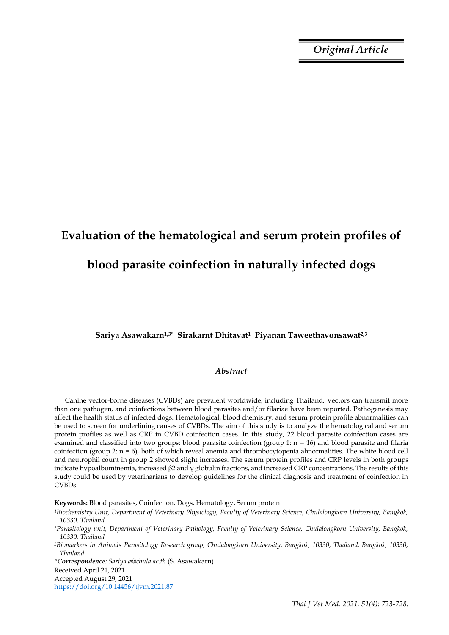*Original Article*

# **Evaluation of the hematological and serum protein profiles of**

## **blood parasite coinfection in naturally infected dogs**

**Sariya Asawakarn1,3\* Sirakarnt Dhitavat1 Piyanan Taweethavonsawat2,3**

### *Abstract*

Canine vector-borne diseases (CVBDs) are prevalent worldwide, including Thailand. Vectors can transmit more than one pathogen, and coinfections between blood parasites and/or filariae have been reported. Pathogenesis may affect the health status of infected dogs. Hematological, blood chemistry, and serum protein profile abnormalities can be used to screen for underlining causes of CVBDs. The aim of this study is to analyze the hematological and serum protein profiles as well as CRP in CVBD coinfection cases. In this study, 22 blood parasite coinfection cases are examined and classified into two groups: blood parasite coinfection (group 1:  $n = 16$ ) and blood parasite and filaria coinfection (group 2: n = 6), both of which reveal anemia and thrombocytopenia abnormalities. The white blood cell and neutrophil count in group 2 showed slight increases. The serum protein profiles and CRP levels in both groups indicate hypoalbuminemia, increased β2 and γ globulin fractions, and increased CRP concentrations. The results of this study could be used by veterinarians to develop guidelines for the clinical diagnosis and treatment of coinfection in CVBDs.

**Keywords:** Blood parasites, Coinfection, Dogs, Hematology, Serum protein

*\*Correspondence: Sariya.a@chula.ac.th* (S. Asawakarn)

Received April 21, 2021

Accepted August 29, 2021

https://doi.org/10.14456/tjvm.2021.87

*<sup>1</sup>Biochemistry Unit, Department of Veterinary Physiology, Faculty of Veterinary Science, Chulalongkorn University, Bangkok, 10330, Thailand*

*<sup>2</sup>Parasitology unit, Department of Veterinary Pathology, Faculty of Veterinary Science, Chulalongkorn University, Bangkok, 10330, Thailand*

*<sup>3</sup>Biomarkers in Animals Parasitology Research group, Chulalongkorn University, Bangkok, 10330, Thailand, Bangkok, 10330, Thailand*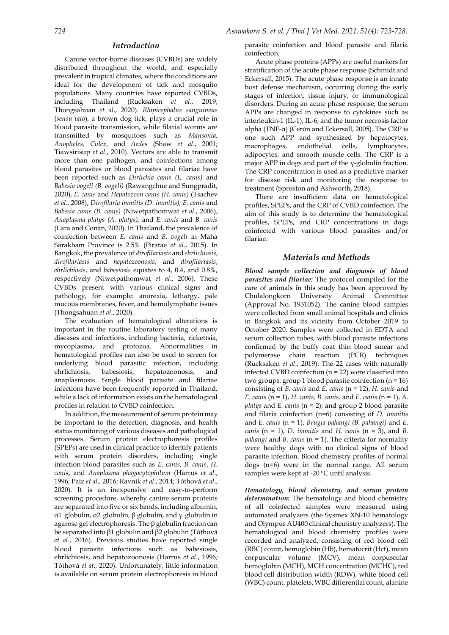#### *Introduction*

Canine vector-borne diseases (CVBDs) are widely distributed throughout the world, and especially prevalent in tropical climates, where the conditions are ideal for the development of tick and mosquito populations. Many countries have reported CVBDs, including Thailand (Rucksaken *et al*., 2019; Thongsahuan *et al*., 2020). *Rhipicephalus sanguineus*  (*sensu lato*), a brown dog tick, plays a crucial role in blood parasite transmission, while filarial worms are transmitted by mosquitoes such as *Mansonia, Anopheles, Culex,* and *Aedes* (Shaw *et al*., 2001; Tiawsirisup *et al*., 2010). Vectors are able to transmit more than one pathogen, and coinfections among blood parasites or blood parasites and filariae have been reported such as *Ehrlichia canis (E. canis)* and *Babesia vogeli (B. vogeli)* (Rawangchue and Sungpradit, 2020), *E. canis* and *Hepatozoon canis (H. canis)* (Tsachev *et al*., 2008), *Dirofilaria immitis (D. immitis), E. canis* and *Babesia canis (B. canis)* (Niwetpathomwat *et al*., 2006), *Anaplasma platys (A. platys),* and *E. canis* and *B. canis* (Lara and Conan, 2020). In Thailand, the prevalence of coinfection between *E. canis* and *B. vogeli* in Maha Sarakham Province is 2.5% (Piratae *et al*., 2015). In Bangkok, the prevalence of *dirofilariasis* and *ehrlichiosis*, *dirofilariasis* and *hepatozoonosis*, and *dirofilariasis*, *ehrlichiosis*, and *babesiosis* equates to 4, 0.4, and 0.8%, respectively (Niwetpathomwat *et al*., 2006). These CVBDs present with various clinical signs and pathology, for example: anorexia, lethargy, pale mucous membranes, fever, and hemolymphatic issues (Thongsahuan *et al*., 2020).

The evaluation of hematological alterations is important in the routine laboratory testing of many diseases and infections, including bacteria, rickettsia, mycoplasma, and protozoa. Abnormalities in hematological profiles can also be used to screen for underlying blood parasitic infection, including ehrlichiosis, babesiosis, hepatozoonosis, and anaplasmosis. Single blood parasite and filariae infections have been frequently reported in Thailand, while a lack of information exists on the hematological profiles in relation to CVBD coinfection.

In addition, the measurement of serum protein may be important to the detection, diagnosis, and health status monitoring of various diseases and pathological processes. Serum protein electrophoresis profiles (SPEPs) are used in clinical practice to identify patients with serum protein disorders, including single infection blood parasites such as *E. canis, B. canis*, *H. canis*, and *Anaplasma phagocytophilum* (Harrus *et al*., 1996; Paiz *et al*., 2016; Ravnik *et al*., 2014; Tóthová *et al*., 2020). It is an inexpensive and easy-to-perform screening procedure, whereby canine serum proteins are separated into five or six bands, including albumin, α1 globulin, α2 globulin, β globulin, and γ globulin in agarose gel electrophoresis. The β globulin fraction can be separated into β1 globulin and β2 globulin (Tóthová *et al*., 2016). Previous studies have reported single blood parasite infections such as babesiosis, ehrlichiosis, and hepatozoonosis (Harrus *et al*., 1996; Tóthová *et al*., 2020). Unfortunately, little information is available on serum protein electrophoresis in blood

parasite coinfection and blood parasite and filaria coinfection.

Acute phase proteins (APPs) are useful markers for stratification of the acute phase response (Schmidt and Eckersall, 2015). The acute phase response is an innate host defense mechanism, occurring during the early stages of infection, tissue injury, or immunological disorders. During an acute phase response, the serum APPs are changed in response to cytokines such as interleukin-1 (IL-1), IL-6, and the tumor necrosis factor alpha (TNF-α) (Cerón and Eckersall, 2005). The CRP is one such APP and synthesized by hepatocytes, macrophages, endothelial cells, lymphocytes, adipocytes, and smooth muscle cells. The CRP is a major APP in dogs and part of the *γ*-globulin fraction. The CRP concentration is used as a predictive marker for disease risk and monitoring the response to treatment (Sproston and Ashworth, 2018).

There are insufficient data on hematological profiles, SPEPs, and the CRP of CVBD coinfection. The aim of this study is to determine the hematological profiles, SPEPs, and CRP concentrations in dogs coinfected with various blood parasites and/or filariae.

#### *Materials and Methods*

*Blood sample collection and diagnosis of blood parasites and filariae:* The protocol compiled for the care of animals in this study has been approved by Chulalongkorn University Animal Committee (Approval No. 1931052). The canine blood samples were collected from small animal hospitals and clinics in Bangkok and its vicinity from October 2019 to October 2020. Samples were collected in EDTA and serum collection tubes, with blood parasite infections confirmed by the buffy coat thin blood smear and polymerase chain reaction (PCR) techniques (Rucksaken *et al*., 2019). The 22 cases with naturally infected CVBD coinfection (n = 22) were classified into two groups: group 1 blood parasite coinfection  $(n = 16)$ consisting of *B. canis* and *E. canis* (n = 12), *H. canis* and *E. canis* (n = 1), *H. canis, B. canis,* and *E. canis* (n = 1), *A. platys* and *E. canis* (n = 2); and group 2 blood parasite and filaria coinfection (n=6) consisting of *D. immitis*  and *E. canis* (n = 1), *Brugia pahangi (B. pahangi)* and *E. canis* (n = 1), *D. immitis* and *H. canis* (n = 3), and *B. pahangi* and *B. canis* (n = 1). The criteria for normality were healthy dogs with no clinical signs of blood parasite infection. Blood chemistry profiles of normal dogs (n=6) were in the normal range. All serum samples were kept at -20 ºC until analysis.

*Hematology, blood chemistry, and serum protein determination:* The hematology and blood chemistry of all coinfected samples were measured using automated analyzers (the Sysmex XN-10 hematology and Olympus AU400 clinical chemistry analyzers). The hematological and blood chemistry profiles were recorded and analyzed, consisting of red blood cell (RBC) count, hemoglobin (Hb), hematocrit (Hct), mean corpuscular volume (MCV), mean corpuscular hemoglobin (MCH), MCH concentration (MCHC), red blood cell distribution width (RDW), white blood cell (WBC) count, platelets, WBC differential count, alanine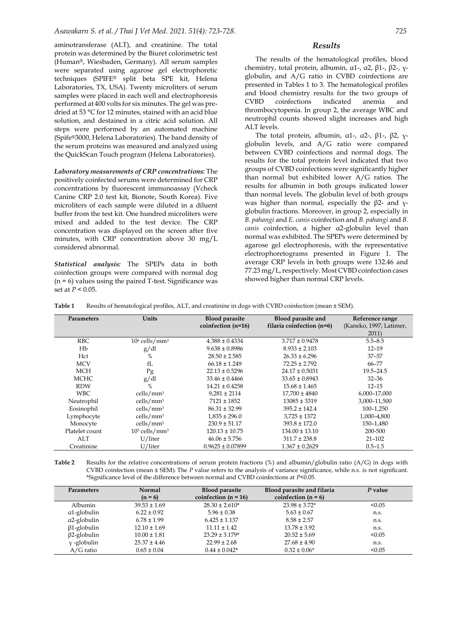aminotransferase (ALT), and creatinine. The total protein was determined by the Biuret colorimetric test (Human®, Wiesbaden, Germany). All serum samples were separated using agarose gel electrophoretic techniques (SPIFE® split beta SPE kit, Helena Laboratories, TX, USA). Twenty microliters of serum samples were placed in each well and electrophoresis performed at 400 volts for six minutes. The gel was predried at 53 °C for 12 minutes, stained with an acid blue solution, and destained in a citric acid solution. All steps were performed by an automated machine (Spife®3000, Helena Laboratories). The band density of the serum proteins was measured and analyzed using the QuickScan Touch program (Helena Laboratories).

*Laboratory measurements of CRP concentrations:* The positively coinfected serums were determined for CRP concentrations by fluorescent immunoassay (Vcheck Canine CRP 2.0 test kit, Bionote, South Korea). Five microliters of each sample were diluted in a diluent buffer from the test kit. One hundred microliters were mixed and added to the test device. The CRP concentration was displayed on the screen after five minutes, with CRP concentration above 30 mg/L considered abnormal.

*Statistical analysis:* The SPEPs data in both coinfection groups were compared with normal dog  $(n = 6)$  values using the paired T-test. Significance was set at *P* < 0.05.

The results of the hematological profiles, blood chemistry, total protein, albumin, α1-, α2, β1-, β2-, γglobulin, and A/G ratio in CVBD coinfections are presented in Tables 1 to 3. The hematological profiles and blood chemistry results for the two groups of CVBD coinfections indicated anemia and thrombocytopenia. In group 2, the average WBC and neutrophil counts showed slight increases and high ALT levels.

The total protein, albumin, α1-, α2-,  $β1$ -,  $β2$ , γglobulin levels, and A/G ratio were compared between CVBD coinfections and normal dogs. The results for the total protein level indicated that two groups of CVBD coinfections were significantly higher than normal but exhibited lower A/G ratios. The results for albumin in both groups indicated lower than normal levels. The globulin level of both groups was higher than normal, especially the β2- and γglobulin fractions. Moreover, in group 2, especially in *B. pahangi* and *E. canis* coinfection and *B. pahangi* and *B. canis* coinfection, a higher α2-globulin level than normal was exhibited. The SPEPs were determined by agarose gel electrophoresis, with the representative electrophoretograms presented in Figure 1. The average CRP levels in both groups were 132.46 and 77.23 mg/L, respectively. Most CVBD coinfection cases showed higher than normal CRP levels.

**Table 1** Results of hematological profiles, ALT, and creatinine in dogs with CVBD coinfection (mean ± SEM).

| Parameters     | Units                       | <b>Blood parasite</b><br>coinfection (n=16) | Blood parasite and<br>filaria coinfection (n=6) | Reference range<br>(Kaneko, 1997; Latimer,<br>2011) |
|----------------|-----------------------------|---------------------------------------------|-------------------------------------------------|-----------------------------------------------------|
| <b>RBC</b>     | $106$ cells/mm <sup>3</sup> | $4.388 \pm 0.4334$                          | $3.717 \pm 0.9478$                              | $5.5 - 8.5$                                         |
| Hb             | g/dl                        | $9.638 \pm 0.8986$                          | $8.933 \pm 2.103$                               | $12 - 19$                                           |
| Hct            | %                           | $28.50 \pm 2.585$                           | $26.33 \pm 6.296$                               | $37 - 57$                                           |
| <b>MCV</b>     | $fI$ .                      | $66.18 \pm 1.249$                           | $72.25 \pm 2.792$                               | 66-77                                               |
| <b>MCH</b>     | Pg                          | $22.13 \pm 0.5296$                          | $24.17 \pm 0.5031$                              | $19.5 - 24.5$                                       |
| <b>MCHC</b>    | g/dl                        | $33.46 \pm 0.4466$                          | $33.65 \pm 0.8943$                              | $32 - 36$                                           |
| <b>RDW</b>     | $\%$                        | $14.21 \pm 0.4258$                          | $15.68 \pm 1.465$                               | $12 - 15$                                           |
| <b>WBC</b>     | cells/mm <sup>3</sup>       | $9.281 \pm 2114$                            | $17.700 \pm 4840$                               | 6,000-17,000                                        |
| Neutrophil     | cells/mm <sup>3</sup>       | $7121 \pm 1852$                             | $13085 \pm 3319$                                | 3,000-11,500                                        |
| Eosinophil     | cells/mm <sup>3</sup>       | $86.31 \pm 32.99$                           | $395.2 \pm 142.4$                               | 100-1.250                                           |
| Lymphocyte     | cells/mm <sup>3</sup>       | $1,835 \pm 296.0$                           | $3.725 \pm 1372$                                | 1,000-4,800                                         |
| Monocyte       | cells/mm <sup>3</sup>       | $230.9 \pm 51.17$                           | $393.8 \pm 172.0$                               | 150-1,480                                           |
| Platelet count | $103$ cells/mm <sup>3</sup> | $120.13 \pm 10.75$                          | $134.00 \pm 13.10$                              | 200-500                                             |
| ALT            | U/liter                     | $46.06 \pm 5.756$                           | $311.7 \pm 238.8$                               | $21 - 102$                                          |
| Creatinine     | U/liter                     | $0.9625 \pm 0.07899$                        | $1.367 \pm 0.2629$                              | $0.5 - 1.5$                                         |

**Table 2** Results for the relative concentrations of serum protein fractions (%) and albumin/globulin ratio (A/G) in dogs with CVBD coinfection (mean ± SEM). The *P* value refers to the analysis of variance significance, while n.s. is not significant. \*Significance level of the difference between normal and CVBD coinfections at *P*<0.05.

| <b>Parameters</b>   | <b>Normal</b><br>$(n = 6)$ | <b>Blood parasite</b><br>coinfection ( $n = 16$ ) | Blood parasite and filaria<br>coinfection $(n = 6)$ | P value |
|---------------------|----------------------------|---------------------------------------------------|-----------------------------------------------------|---------|
| Albumin             | $39.53 \pm 1.69$           | $28.30 \pm 2.610*$                                | $23.98 \pm 3.72^*$                                  | < 0.05  |
| α1-globulin         | $6.22 \pm 0.92$            | $5.96 \pm 0.38$                                   | $5.63 \pm 0.67$                                     | n.s.    |
| $\alpha$ 2-globulin | $6.78 \pm 1.99$            | $6.425 \pm 1.137$                                 | $8.58 \pm 2.57$                                     | n.s.    |
| $\beta$ 1-globulin  | $12.10 \pm 1.69$           | $11.11 \pm 1.42$                                  | $13.78 \pm 3.92$                                    | n.s.    |
| $\beta$ 2-globulin  | $10.00 \pm 1.81$           | $23.29 \pm 3.179*$                                | $20.52 \pm 5.69$                                    | < 0.05  |
| $\gamma$ -globulin  | $25.37 \pm 4.46$           | $22.99 \pm 2.68$                                  | $27.68 \pm 4.90$                                    | n.s.    |
| $A/G$ ratio         | $0.65 \pm 0.04$            | $0.44 \pm 0.042*$                                 | $0.32 \pm 0.06*$                                    | < 0.05  |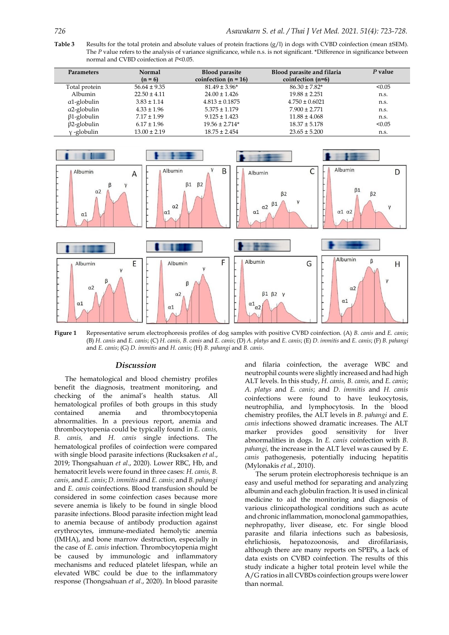**Table 3** Results for the total protein and absolute values of protein fractions (g/l) in dogs with CVBD coinfection (mean ±SEM). The *P* value refers to the analysis of variance significance, while n.s. is not significant. \*Difference in significance between normal and CVBD coinfection at *P*<0.05.

| <b>Parameters</b>  | <b>Normal</b><br>$(n = 6)$ | <b>Blood parasite</b><br>coinfection ( $n = 16$ ) | Blood parasite and filaria<br>coinfection $(n=6)$ | P value |
|--------------------|----------------------------|---------------------------------------------------|---------------------------------------------------|---------|
| Total protein      | $56.64 \pm 9.35$           | $81.49 \pm 3.96*$                                 | $86.30 \pm 7.82$ *                                | < 0.05  |
| Albumin            | $22.50 \pm 4.11$           | $24.00 \pm 1.426$                                 | $19.88 \pm 2.251$                                 | n.s.    |
| $a1$ -globulin     | $3.83 \pm 1.14$            | $4.813 \pm 0.1875$                                | $4.750 \pm 0.6021$                                | n.s.    |
| a2-globulin        | $4.33 \pm 1.96$            | $5.375 \pm 1.179$                                 | $7.900 \pm 2.771$                                 | n.s.    |
| $\beta$ 1-globulin | $7.17 \pm 1.99$            | $9.125 \pm 1.423$                                 | $11.88 \pm 4.068$                                 | n.s.    |
| $\beta$ 2-globulin | $6.17 \pm 1.96$            | $19.56 \pm 2.714*$                                | $18.37 \pm 5.178$                                 | < 0.05  |
| y-globulin         | $13.00 \pm 2.19$           | $18.75 \pm 2.454$                                 | $23.65 \pm 5.200$                                 | n.s.    |



**Figure 1** Representative serum electrophoresis profiles of dog samples with positive CVBD coinfection. (A) *B. canis* and *E. canis*; (B) *H. canis* and *E. canis*; (C) *H. canis, B. canis* and *E. canis*; (D) *A. platys* and *E. canis*; (E) *D. immitis* and *E. canis*; (F) *B. pahangi*  and *E. canis*; (G) *D. immitis* and *H. canis*; (H) *B. pahangi* and *B. canis*.

#### *Discussion*

The hematological and blood chemistry profiles benefit the diagnosis, treatment monitoring, and checking of the animal's health status. All hematological profiles of both groups in this study contained anemia and thrombocytopenia abnormalities. In a previous report, anemia and thrombocytopenia could be typically found in *E. canis, B. canis,* and *H. canis* single infections. The hematological profiles of coinfection were compared with single blood parasite infections (Rucksaken *et al*., 2019; Thongsahuan *et al*., 2020). Lower RBC, Hb, and hematocrit levels were found in three cases: *H. canis, B. canis,* and *E. canis*; *D. immitis* and *E. canis;* and *B. pahangi* and *E. canis* coinfections. Blood transfusion should be considered in some coinfection cases because more severe anemia is likely to be found in single blood parasite infections. Blood parasite infection might lead to anemia because of antibody production against erythrocytes, immune-mediated hemolytic anemia (IMHA), and bone marrow destruction, especially in the case of *E. canis* infection. Thrombocytopenia might be caused by immunologic and inflammatory mechanisms and reduced platelet lifespan, while an elevated WBC could be due to the inflammatory response (Thongsahuan *et al*., 2020). In blood parasite and filaria coinfection, the average WBC and neutrophil counts were slightly increased and had high ALT levels. In this study, *H. canis, B. canis,* and *E. canis*; *A. platys* and *E. canis*; and *D. immitis* and *H. canis* coinfections were found to have leukocytosis, neutrophilia, and lymphocytosis. In the blood chemistry profiles, the ALT levels in *B. pahangi* and *E. canis* infections showed dramatic increases. The ALT marker provides good sensitivity for liver abnormalities in dogs. In *E. canis* coinfection with *B. pahangi,* the increase in the ALT level was caused by *E. canis* pathogenesis, potentially inducing hepatitis (Mylonakis *et al.*, 2010).

The serum protein electrophoresis technique is an easy and useful method for separating and analyzing albumin and each globulin fraction. It is used in clinical medicine to aid the monitoring and diagnosis of various clinicopathological conditions such as acute and chronic inflammation, monoclonal gammopathies, nephropathy, liver disease, etc. For single blood parasite and filaria infections such as babesiosis, ehrlichiosis, hepatozoonosis, and dirofilariasis, although there are many reports on SPEPs, a lack of data exists on CVBD coinfection. The results of this study indicate a higher total protein level while the A/G ratios in all CVBDs coinfection groups were lower than normal.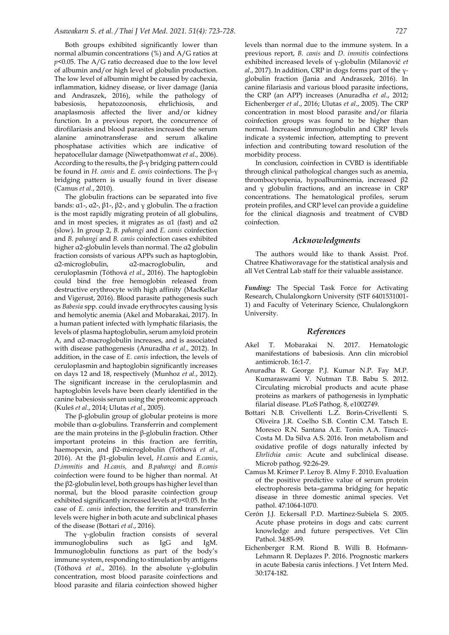Both groups exhibited significantly lower than normal albumin concentrations (%) and A/G ratios at *p*<0.05. The A/G ratio decreased due to the low level of albumin and/or high level of globulin production. The low level of albumin might be caused by cachexia, inflammation, kidney disease, or liver damage (Jania and Andraszek, 2016), while the pathology of babesiosis, hepatozoonosis, ehrlichiosis, and anaplasmosis affected the liver and/or kidney function. In a previous report, the concurrence of dirofilariasis and blood parasites increased the serum alanine aminotransferase and serum alkaline phosphatase activities which are indicative of hepatocellular damage (Niwetpathomwat *et al*., 2006). According to the results, the  $\beta$ -γ bridging pattern could be found in *H. canis* and *E. canis* coinfections. The β-γ bridging pattern is usually found in liver disease (Camus *et al*., 2010).

The globulin fractions can be separated into five bands: α1-, α2-, β1-, β2-, and γ globulin. The α fraction is the most rapidly migrating protein of all globulins, and in most species, it migrates as α1 (fast) and α2 (slow). In group 2, *B. pahangi* and *E. canis* coinfection and *B. pahangi* and *B. canis* coinfection cases exhibited higher α2-globulin levels than normal. The α2 globulin fraction consists of various APPs such as haptoglobin, α2-microglobulin, α2-macroglobulin, and ceruloplasmin (Tóthová *et al*., 2016). The haptoglobin could bind the free hemoglobin released from destructive erythrocyte with high affinity (MacKellar and Vigerust, 2016). Blood parasite pathogenesis such as *Babesia* spp*.* could invade erythrocytes causing lysis and hemolytic anemia (Akel and Mobarakai, 2017). In a human patient infected with lymphatic filariasis, the levels of plasma haptoglobulin, serum amyloid protein A, and α2-macroglobulin increases, and is associated with disease pathogenesis (Anuradha *et al*., 2012). In addition, in the case of *E. canis* infection, the levels of ceruloplasmin and haptoglobin significantly increases on days 12 and 18, respectively (Munhoz *et al.*, 2012). The significant increase in the ceruloplasmin and haptoglobin levels have been clearly identified in the canine babesiosis serum using the proteomic approach (Kuleš *et al*., 2014; Ulutas *et al*., 2005).

The β-globulin group of globular proteins is more mobile than α-globulins. Transferrin and complement are the main proteins in the β-globulin fraction. Other important proteins in this fraction are ferritin, haemopexin, and β2-microglobulin (Tóthová *et al*., 2016). At the β1-globulin level, *H.canis* and *E.canis*, *D.immitis* and *H.canis,* and *B.pahangi* and *B.canis* coinfection were found to be higher than normal. At the β2-globulin level, both groups has higher level than normal, but the blood parasite coinfection group exhibited significantly increased levels at *p*<0.05. In the case of *E. canis* infection, the ferritin and transferrin levels were higher in both acute and subclinical phases of the disease (Bottari *et al*., 2016).

The γ-globulin fraction consists of several immunoglobulins such as IgG and IgM. Immunoglobulin functions as part of the body's immune system, responding to stimulation by antigens (Tóthová *et al*., 2016). In the absolute γ-globulin concentration, most blood parasite coinfections and blood parasite and filaria coinfection showed higher

levels than normal due to the immune system. In a previous report, *B. canis* and *D. immitis* coinfections exhibited increased levels of γ-globulin (Milanović *et al*., 2017). In addition, CRP in dogs forms part of the γglobulin fraction (Jania and Andraszek, 2016). In canine filariasis and various blood parasite infections, the CRP (an APP) increases (Anuradha *et al*., 2012; Eichenberger *et al*., 2016; Ulutas *et al*., 2005). The CRP concentration in most blood parasite and/or filaria coinfection groups was found to be higher than normal. Increased immunoglobulin and CRP levels indicate a systemic infection, attempting to prevent infection and contributing toward resolution of the morbidity process.

In conclusion, coinfection in CVBD is identifiable through clinical pathological changes such as anemia, thrombocytopenia, hypoalbuminemia, increased β2 and γ globulin fractions, and an increase in CRP concentrations. The hematological profiles, serum protein profiles, and CRP level can provide a guideline for the clinical diagnosis and treatment of CVBD coinfection.

#### *Acknowledgments*

The authors would like to thank Assist. Prof. Chatree Khatiworavage for the statistical analysis and all Vet Central Lab staff for their valuable assistance.

*Funding:* The Special Task Force for Activating Research, Chulalongkorn University (STF 6401531001- 1) and Faculty of Veterinary Science, Chulalongkorn University.

#### *References*

- Akel T. Mobarakai N. 2017. Hematologic manifestations of babesiosis. Ann clin microbiol antimicrob. 16:1-7.
- Anuradha R. George P.J. Kumar N.P. Fay M.P. Kumaraswami V. Nutman T.B. Babu S. 2012. Circulating microbial products and acute phase proteins as markers of pathogenesis in lymphatic filarial disease. PLoS Pathog. 8, e1002749.
- Bottari N.B. Crivellenti L.Z. Borin-Crivellenti S. Oliveira J.R. Coelho S.B. Contin C.M. Tatsch E. Moresco R.N. Santana A.E. Tonin A.A. Tinucci-Costa M. Da Silva A.S. 2016. Iron metabolism and oxidative profile of dogs naturally infected by *Ehrlichia canis*: Acute and subclinical disease. Microb pathog. 92:26-29.
- Camus M. Krimer P. Leroy B. Almy F. 2010. Evaluation of the positive predictive value of serum protein electrophoresis beta–gamma bridging for hepatic disease in three domestic animal species. Vet pathol. 47:1064-1070.
- Cerón J.J. Eckersall P.D. Martínez‐Subiela S. 2005. Acute phase proteins in dogs and cats: current knowledge and future perspectives. Vet Clin Pathol. 34:85-99.
- Eichenberger R.M. Riond B. Willi B. Hofmann‐ Lehmann R. Deplazes P. 2016. Prognostic markers in acute Babesia canis infections. J Vet Intern Med. 30:174-182.